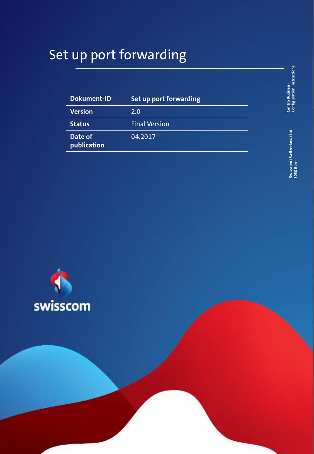# Set up port forwarding

| <b>Dokument-ID</b>     | Set up port forwarding |
|------------------------|------------------------|
| <b>Version</b>         | 2.0                    |
| <b>Status</b>          | <b>Final Version</b>   |
| Date of<br>publication | 04.2017                |

**Centro Business**<br>Configuration instructions **Configuration instructions Centro Business** 

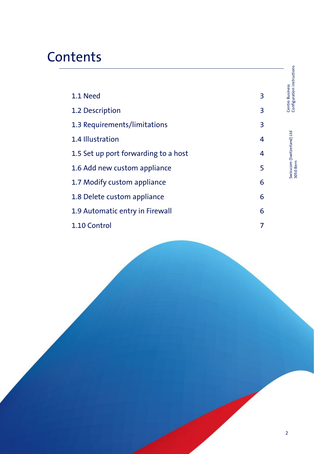# **Contents**

| 1.1 Need                             | 3 |
|--------------------------------------|---|
| 1.2 Description                      | 3 |
| 1.3 Requirements/limitations         | 3 |
| 1.4 Illustration                     | 4 |
| 1.5 Set up port forwarding to a host | 4 |
| 1.6 Add new custom appliance         | 5 |
| 1.7 Modify custom appliance          | 6 |
| 1.8 Delete custom appliance          | 6 |
| 1.9 Automatic entry in Firewall      | 6 |
| 1.10 Control                         | 7 |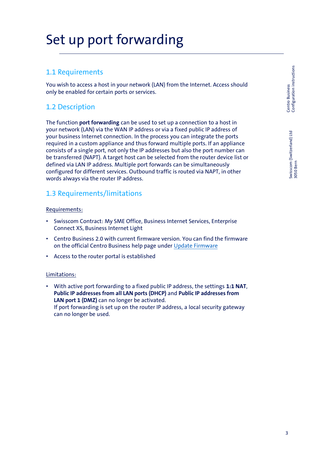# Set up port forwarding

### 1.1 Requirements

You wish to access a host in your network (LAN) from the Internet. Access should only be enabled for certain ports or services.

# 1.2 Description

The function **port forwarding** can be used to set up a connection to a host in your network (LAN) via the WAN IP address or via a fixed public IP address of your business Internet connection. In the process you can integrate the ports required in a custom appliance and thus forward multiple ports. If an appliance consists of a single port, not only the IP addresses but also the port number can be transferred (NAPT). A target host can be selected from the router device list or defined via LAN IP address. Multiple port forwards can be simultaneously configured for different services. Outbound traffic is routed via NAPT, in other words always via the router IP address.

# 1.3 Requirements/limitations

### Requirements:

- Swisscom Contract: My SME Office, Business Internet Services, Enterprise Connect XS, Business Internet Light
- Centro Business 2.0 with current firmware version. You can find the firmware on the official Centro Business help page under [Update Firmware](http://www.swisscom.ch/centrobusiness2-fw)
- Access to the router portal is established

### Limitations:

• With active port forwarding to a fixed public IP address, the settings **1:1 NAT**, **Public IP addresses from all LAN ports (DHCP)** and **Public IP addresses from**  LAN port 1 (DMZ) can no longer be activated. If port forwarding is set up on the router IP address, a local security gateway can no longer be used.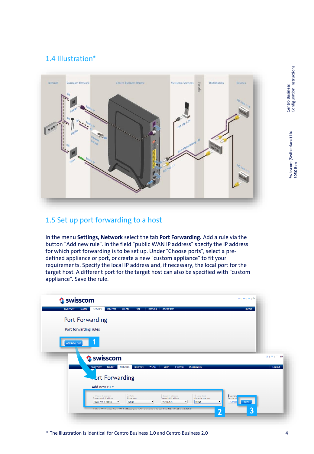# 1.4 Illustration\*



## 1.5 Set up port forwarding to a host

In the menu **Settings, Network** select the tab **Port Forwarding.** Add a rule via the button "Add new rule". In the field "public WAN IP address" specify the IP address for which port forwarding is to be set up. Under "Choose ports", select a predefined appliance or port, or create a new "custom appliance" to fit your requirements. Specify the local IP address and, if necessary, the local port for the target host. A different port for the target host can also be specified with "custom appliance". Save the rule.

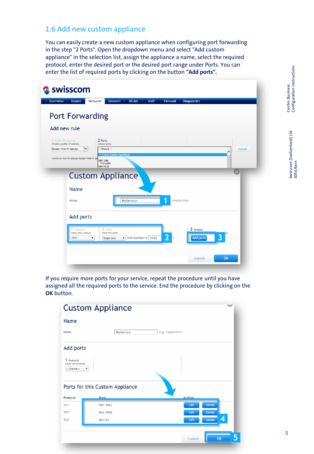# 1.6 Add new custom appliance

You can easily create a new custom appliance when configuring port forwarding in the step "2 Ports". Open the dropdown menu and select "Add custom appliance" in the selection list, assign the appliance a name, select the required protocol, enter the desired port or the desired port range under Ports. You can enter the list of required ports by clicking on the button **"Add ports".**

| Overview                                                                    | Router                                         | Network                                                             | Internet                                                     | <b>WLAN</b> | <b>VolP</b>        | <b>Firewall</b> | <b>Diagnostics</b>            |                         |           |
|-----------------------------------------------------------------------------|------------------------------------------------|---------------------------------------------------------------------|--------------------------------------------------------------|-------------|--------------------|-----------------|-------------------------------|-------------------------|-----------|
|                                                                             |                                                | <b>Port Forwarding</b>                                              |                                                              |             |                    |                 |                               |                         |           |
| Add new rule                                                                |                                                |                                                                     |                                                              |             |                    |                 |                               |                         |           |
| 1 Public IP address<br>Choose a public IP address.<br>Router WAN IP Address | Traffic to WAN IP address Router WAN IP Ad     | 2 Ports<br>Choose ports.<br>▽<br><b>AIM Talk</b><br><b>AIM V3.0</b> | -- Choose --<br>> Create Custom Appliance<br><b>TCP:4099</b> |             |                    |                 |                               |                         | Cancel    |
|                                                                             |                                                |                                                                     | <b>Custom Appliance</b>                                      |             |                    |                 |                               |                         | $\bullet$ |
|                                                                             | Name                                           |                                                                     |                                                              |             |                    |                 |                               |                         |           |
|                                                                             | Name                                           |                                                                     |                                                              | MyService   |                    | 1               | «MyService»                   |                         |           |
|                                                                             | Add ports                                      |                                                                     |                                                              |             |                    |                 |                               |                         |           |
|                                                                             | Protocol<br>Select the protocol.<br><b>TCP</b> | ▼                                                                   | 2 Ports<br>Enter the ports.<br>Single port                   |             | Port number/s 1062 | $\overline{2}$  | 3 Actions<br><b>Add ports</b> | $\overline{\mathbf{3}}$ |           |
|                                                                             |                                                |                                                                     |                                                              |             |                    |                 | Cancel                        | OK                      |           |

If you require more ports for your service, repeat the procedure until you have assigned all the required ports to the service. End the procedure by clicking on the **OK** button.

|                                                    | <b>Custom Appliance</b>         | $\overline{\phantom{a}}$ |
|----------------------------------------------------|---------------------------------|--------------------------|
| Name                                               |                                 |                          |
| Name                                               | MyService                       | e.g. «MyService»         |
| <b>Add ports</b>                                   |                                 |                          |
| 1 Protocol<br>Select the protocol.<br>-- Choose -- | ▼                               |                          |
|                                                    | Ports for this Custom Appliance |                          |
| Protocol                                           | <b>Ports</b>                    | <b>Actions</b>           |
| <b>TCP</b>                                         | Port 1062                       | Edit<br><b>Delete</b>    |
| <b>TCP</b>                                         | Port 1818                       | Edit<br><b>Delete</b>    |
| <b>TCP</b>                                         | Port 23                         | 4<br>Delete<br>Edit      |
|                                                    |                                 | 5<br>OK<br>Cancel        |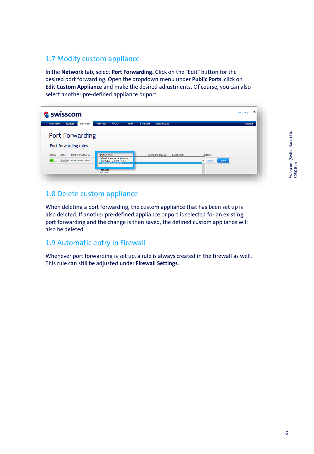# 1.7 Modify custom appliance

In the **Network** tab, select **Port Forwarding.** Click on the "Edit" button for the desired port forwarding. Open the dropdown menu under **Public Ports**, click on **Edit Custom Appliance** and make the desired adjustments. Of course, you can also select another pre-defined appliance or port.

| Swisscom                                                                              |                                                                                                                                                             |                                               |                                           | DE   FR   IT   EN |
|---------------------------------------------------------------------------------------|-------------------------------------------------------------------------------------------------------------------------------------------------------------|-----------------------------------------------|-------------------------------------------|-------------------|
| Overview<br>Router<br><b>Network</b>                                                  | Internet<br><b>WLAN</b><br><b>VolP</b>                                                                                                                      | <b>Diagnostics</b><br><b>Firewall</b>         |                                           | Logout            |
| <b>Port Forwarding</b><br>Port forwarding rules                                       |                                                                                                                                                             |                                               |                                           |                   |
| <b>Public IP address</b><br>Active<br><b>Status</b><br>Disabled Router WAN IP Address | <b>Public ports</b><br>MyService (Custom Appliance)<br>TCP:1062, TCP:1818, TCP:23<br>-> Edit Custom Appliance<br>Louis Stone<br><b>TCP:4099</b><br>AIM V3.0 | <b>Local IP address</b><br><b>Local ports</b> | <b>Actions</b><br>$\wedge$ Cancel<br>Save |                   |

# 1.8 Delete custom appliance

When deleting a port forwarding, the custom appliance that has been set up is also deleted. If another pre-defined appliance or port is selected for an existing port forwarding and the change is then saved, the defined custom appliance will also be deleted.

### 1.9 Automatic entry in Firewall

Whenever port forwarding is set up, a rule is always created in the firewall as well. This rule can still be adjusted under **Firewall Settings**.